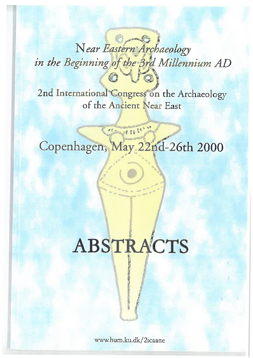# Near Eastern Archaeology in the Beginning of the 3rd Millennium AD @ 4 F

2nd International Congress on the Archaeology of the Ancient Near East

Copenhagen, May 22nd-26th 2000

# ABSTRACTS

www.hum.ku.dk/2icaane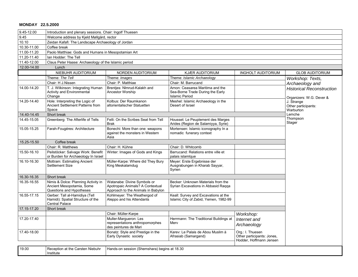# **MONDAY 22.5.2000**

| 9.45-12.00  | Introduction and plenary sessions. Chair: Ingolf Thuesen                                     |                                                                                                       |                                                                                               |                                                                           |                                                                                                                |
|-------------|----------------------------------------------------------------------------------------------|-------------------------------------------------------------------------------------------------------|-----------------------------------------------------------------------------------------------|---------------------------------------------------------------------------|----------------------------------------------------------------------------------------------------------------|
| 9.45        | Welcome address by Kjeld Møllgård, rector                                                    |                                                                                                       |                                                                                               |                                                                           |                                                                                                                |
| 10.10       | Zeidan Kafafi: The Landscape Archaeology of Jordan                                           |                                                                                                       |                                                                                               |                                                                           |                                                                                                                |
| 10.30-11.00 | Coffee break                                                                                 |                                                                                                       |                                                                                               |                                                                           |                                                                                                                |
| 11.00-11.20 | Paolo Matthiae: Gods and Humans in Mesopotamian Art                                          |                                                                                                       |                                                                                               |                                                                           |                                                                                                                |
| 11.20-11.40 | lan Hodder: The Tell                                                                         |                                                                                                       |                                                                                               |                                                                           |                                                                                                                |
| 11.40-12.00 | Claus Peter Haase: Archaeology of the Islamic period                                         |                                                                                                       |                                                                                               |                                                                           |                                                                                                                |
| 12.00-14.00 | Lunch                                                                                        |                                                                                                       |                                                                                               |                                                                           |                                                                                                                |
|             | NIEBUHR AUDITORIUM                                                                           | NORDEN AUDITORIUM                                                                                     | <b>KJÆR AUDITORIUM</b>                                                                        | <b>INGHOLT AUDITORIUM</b>                                                 | <b>GLOB AUDITORIUM</b>                                                                                         |
|             | Theme: The Tell                                                                              | Theme: Images                                                                                         | Theme: Islamic Archaeology                                                                    |                                                                           | Workshop: Texts,                                                                                               |
|             | Chair: H J.Nissen                                                                            | Chair: P. Matthiae                                                                                    | Chair: M. Barrucand                                                                           |                                                                           | Archaeology and                                                                                                |
| 14.00-14.20 | T. J. Wilkinson: Integrating Human<br>Activity and Environmental<br>Change                   | Brentjes: NImrud-Kalakh and<br>Ancestor Worship                                                       | Arnon: Ceasarea Maritima and the<br>Sea-Borne Trade During the Early<br><b>Islamic Period</b> |                                                                           | <b>Historical Reconstruction</b><br>Organizers: W.G. Dever &<br>J. Strange<br>Other participants:<br>Warburton |
| 14.20-14.40 | Hole: Interpreting the Logic of<br>Ancient Settlement Patterns from<br>Space                 | Kolbus: Der Raumkanon<br>altorientalischer Statuetten                                                 | Meshel: Islamic Archaeology in the<br>Desert of Israel                                        |                                                                           |                                                                                                                |
| 14.40-14.45 | Short break                                                                                  |                                                                                                       |                                                                                               |                                                                           | Lemche                                                                                                         |
| 14.45-15.05 | Greenberg: The Afterlife of Tells                                                            | Felli: On the Scribes Seat from Tell<br>Brak                                                          | Housset: Le Peuplement des Marges<br>Arides (Region de Salamiyya, Syrie)                      |                                                                           | Thompson<br>Stager                                                                                             |
| 15.05-15.25 | Farah-Fougéres: Architecture                                                                 | Bonechi: More than one: weapons<br>against the monsters in Western<br>Asia                            | Mortensen: Islamic iconography In a<br>nomadic funerary context                               |                                                                           |                                                                                                                |
| 15.25-15.50 | Coffee break                                                                                 |                                                                                                       |                                                                                               |                                                                           |                                                                                                                |
|             | Chair: R. Matthews                                                                           | Chair: H. Kühne                                                                                       | Chair: D. Whitcomb                                                                            |                                                                           |                                                                                                                |
| 15.50-16.10 | Peilstöcker: Salvage Work: Benefit<br>or Burden for Archaeology In Israel                    | Winter: Images of Gods and Kings                                                                      | Barrucand: Relations entre ville et<br>palais islamlque                                       |                                                                           |                                                                                                                |
| 16.10-16.30 | Mottram: Estimating Ancient<br>Settlement Size                                               | Müller-Karpe: Where did They Bury<br>King Meskalamdug                                                 | Meyer: Erste Ergebnisse der<br>Ausgrabungen in Kharab Sayyar,<br>Syrien                       |                                                                           |                                                                                                                |
| 16.30-16.35 | Short break                                                                                  |                                                                                                       |                                                                                               |                                                                           |                                                                                                                |
| 16.35-16.55 | Nimis & Dolce: Planning Activity in<br>Ancient Mesopotamia, Some<br>Questions and Hypotheses | Watanabe: Divine Symbols or<br>Apotropaic Animals? A Contextual<br>Approach to the Animals in Babylon | Becker: Unknown Materials from the<br>Syrian Excavations in Abbasid Raqqa                     |                                                                           |                                                                                                                |
| 16.55-17.15 | Gerber: Tall al-Hamidiya (Tell<br>Hamidi): Spatial Structure of the<br><b>Central Palace</b> | Kohlmeyer: The Weathergod of<br>Aleppo and his Attendants                                             | Keall: Survey and Excavations at the<br>Islamic City of Zabid, Yemen, 1982-99                 |                                                                           |                                                                                                                |
| 17.15-17.20 | Short break                                                                                  |                                                                                                       |                                                                                               |                                                                           |                                                                                                                |
|             |                                                                                              | Chair: Müller-Karpe                                                                                   |                                                                                               | Workshop:                                                                 |                                                                                                                |
| 17.20-17.40 |                                                                                              | Muller-Marqueron: Les<br>representations anthropomorphes<br>des peintures de Mari                     | Herrmann: The Traditional Buildings at<br>Merv                                                | Internet and<br>Archaeology                                               |                                                                                                                |
| 17.40-18.00 |                                                                                              | Bonatz: Style and Prestige in the<br>Early Dynastic society                                           | Karev: Le Palais de Abou Muslim à<br>Afrasiab (Samargand)                                     | Org.: I. Thuesen<br>Other participants: Jones,<br>Hodder, Hoffmann Jensen |                                                                                                                |
| 19.00       | Reception at the Carsten Niebuhr<br>Institute                                                | Hands-on session (Shemshara) begins at 18.30                                                          |                                                                                               |                                                                           |                                                                                                                |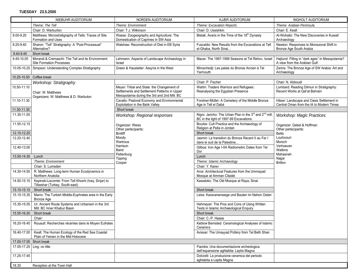|                         | NIEBUHR AUDITORIUM                                                                     | NORDEN AUDITORIUM                                                                                                                         | KJÆR AUDITORIUM                                                                                   | <b>INGHOLT AUDITORIUM</b>                                                            |
|-------------------------|----------------------------------------------------------------------------------------|-------------------------------------------------------------------------------------------------------------------------------------------|---------------------------------------------------------------------------------------------------|--------------------------------------------------------------------------------------|
|                         | Theme: The Tell                                                                        | Theme: Environment                                                                                                                        | <b>Theme: Excavation Reports</b>                                                                  | Theme: Arabian Peninsula                                                             |
|                         | Chair: D. Warburton                                                                    | Chair: T.J. Wilkinson                                                                                                                     | Chair: D. Ussishkin                                                                               | Chair: E. Keall                                                                      |
| 9.00-9.20               | Matthews: Microstratigraphy of Tells: Traces of Site<br>Formation and Uses             | Wasse: Zoogeography and Agriculture: The<br>Domestication of Caprines in SW Asia                                                          | Bletak: Avaris in the Time of the 18 <sup>th</sup> Dynasty                                        | Al-Wohaibi: The New Discoveries in Kuwait<br>Archaeology                             |
| 9.20-9.40               | Sharon: "Tell" Stratigraphy: A "Post-Processual"<br>Alternative?                       | Walshaw: Reconstruction of Diet in EB Syria<br>Fuscaldo: New Results from the Excavations at Tell<br>el-Ghaba, North Sinai                |                                                                                                   | Newton: Responses to Monsoonal Shift in<br>Bronze Age South Arabia                   |
| 9.40-9.45               | Short break                                                                            |                                                                                                                                           |                                                                                                   |                                                                                      |
| 9.45-10.05              | Morandi & Cremaschi: The Tell and its Environment:<br><b>Site Formation Processes</b>  | Lehmann: Aspects of Landscape Archaeology in<br>Israel                                                                                    | Mazar: The 1997-1999 Seasons at Tel Rehov, Israel                                                 | Højlund: Filling in "dark ages" in Mesopotamia?<br>A view from the Arabian Gulf      |
|                         | 10.05-10.25 Simpson: Understanding Complex Stratigraphy                                | Green & Hausleiter: Assyria in the West                                                                                                   | Miroschedji: Les palais du Bronze Ancien à Tel<br>Yarmouth                                        | Zarins: The Bronze Age of SW Arabia: Art and<br>Archaeology                          |
| 10.25-10.50             | Coffee break                                                                           |                                                                                                                                           |                                                                                                   |                                                                                      |
|                         | Workshop: Stratigraphy                                                                 |                                                                                                                                           | Chair: P. Fischer                                                                                 | Chair: N. Abboudi                                                                    |
| 10.50-11.10             | Chair: W. Matthews<br>Organizers: W. Matthews & D. Warbuton                            | Meyer: Tribal and State: the Changement of<br>Settlements and Settlement Patterns in Upper<br>Mesopotamia during the 3rd and 2nd Mill. BC | Watrin: Traders Warriors and Refugees:<br>Reanalysing the Egyptian Presence                       | Lombard: Reading Dilmun in Stratigraphy:<br>Recent Works at Qal'at Bahrain           |
| 11.10-11.30             |                                                                                        | Cavallo: Pastoral Economy and Environmental<br>Exploitation in the Balık Valley                                                           | Forstner-Müller: A Cemetery of the Middle Bronze<br>Age in Tell el Dabá                           | Häser: Landscape and Oasis Settlement in<br>Central Oman from the IA to Modern Times |
| 11.30-11.35             |                                                                                        | Short break                                                                                                                               |                                                                                                   |                                                                                      |
| 11.35-11.55             |                                                                                        | Workshop: Regional responses                                                                                                              | Nigro: Jericho: The Urban Plan in the 3rd and 2nd mill.<br>BC in the light of 1997-99 Excavations | <b>Workshop: Magic Practices</b>                                                     |
| 11.55-12.15             |                                                                                        | Organizer: Weiss<br>Other partecipants:                                                                                                   | Bourke: Cult Practice and the Archaeology of<br>Religion at Pella in Jordan                       | Organizer: Gebel & Hoffman<br>Other partecipants:                                    |
| 12.15-12.20             |                                                                                        | <b>Bintliff</b>                                                                                                                           | Short break                                                                                       | <b>Betts</b>                                                                         |
| 12.20-12.40             |                                                                                        | Moody<br>Wartrous                                                                                                                         | Jasmin: La transition du Bronze Recent II au Fer I<br>dans le sud de la Palestine                 | Louhivouri<br>Morsch                                                                 |
| 12.40-13.00             |                                                                                        | Harrison<br>Baird                                                                                                                         | Gilboa: Iron Age I-IIA Radiometric Dates from Tel<br>Dor                                          | Verhoeven<br>Watkins                                                                 |
| 13.00-14.30             | Lunch                                                                                  | Peltenburg<br>Tipping                                                                                                                     | Lunch                                                                                             | Mahasneh<br>Najjar                                                                   |
|                         | Theme: Environment                                                                     | Cooper                                                                                                                                    | Theme: Islamic Archaeology                                                                        | <b>Britton</b>                                                                       |
|                         | Chair: S. Lumsden                                                                      |                                                                                                                                           | Chair: Y. Karev                                                                                   |                                                                                      |
| 14.30-14.50             | R. Matthews: Long-term Human Ecodynamics in<br>Northern Anatolia                       |                                                                                                                                           | Arce: Architectural Features from the Ummayad<br>Mosque at Amman Citadel                          |                                                                                      |
| 14.50-15.10             | Kepinski-Lecomte: From Tell Khoshi (Iraq, Sinjar) to<br>Tilbeshar (Turkey, South-east) |                                                                                                                                           | Kawatoko: The Old Mosque at Raya, Sinai                                                           |                                                                                      |
| 15.10-15.15             | Short break                                                                            |                                                                                                                                           | Short break                                                                                       |                                                                                      |
| 15.15-15.35             | Marro: The Turkish Middle-Euphrates area in the Early<br><b>Bronze Age</b>             |                                                                                                                                           | Leiss: Karavanenwege und Bauten im Nahon Osten                                                    |                                                                                      |
| 15.35-15.55             | Ur: Ancient Route Systems and Urbanism in the 3rd<br>Mill. BC Inner Khabur Basin       |                                                                                                                                           | Hehmeyer: The Pros and Cons of Using Written<br>Texts in Islamic Archaeological Enquiry           |                                                                                      |
| 15.55-16.20             | Short break                                                                            |                                                                                                                                           | Short break                                                                                       |                                                                                      |
|                         | Chair:                                                                                 |                                                                                                                                           | Chair: C.-P. Haase                                                                                |                                                                                      |
| 16.20-16.40             | Rouault: Recherches récentes dans le Moyen Eufrates                                    |                                                                                                                                           | Keblow Bernsted: Ceramological Analyses of Islamic<br>Ceramics                                    |                                                                                      |
| 16.40-17.00             | Keall: The Human Ecology of the Red Sea Coastal<br>Plain of Yemen in the Mid-Holocene  |                                                                                                                                           | Avissar: The Umayyad Pottery from Tel Beth Shan                                                   |                                                                                      |
| 17.00-17.05 Short break |                                                                                        |                                                                                                                                           |                                                                                                   |                                                                                      |
| 17.05-17.25             | Ling: no title                                                                         |                                                                                                                                           | Fiandra: Una documentazione archeologica<br>dell'espansione aghlabita: Leptis Magna               |                                                                                      |
| 17.25-17.45             |                                                                                        |                                                                                                                                           | Dolciotti: La produzione ceramica del periodo<br>aghlabita a Leptis Magna                         |                                                                                      |
| 18.30                   | Reception at the Town Hall                                                             |                                                                                                                                           |                                                                                                   |                                                                                      |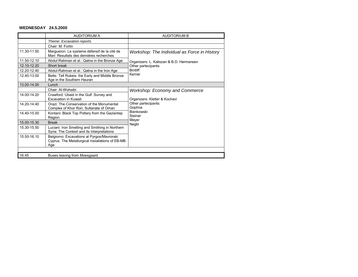#### **WEDNESDAY 24.5.2000**

|                                                                        | <b>AUDITORIUM A</b>                                                                                   | <b>AUDITORIUM B</b>                                                                |  |  |
|------------------------------------------------------------------------|-------------------------------------------------------------------------------------------------------|------------------------------------------------------------------------------------|--|--|
|                                                                        | Theme: Excavation reports                                                                             |                                                                                    |  |  |
|                                                                        | Chair: M. Fortin                                                                                      |                                                                                    |  |  |
| 11.30-11.50                                                            | Margueron: Le systeme défensif de la cité de<br>Mari: Resultats des derniéres recherches              | Workshop: The Individual as Force in History                                       |  |  |
| 11.50-12.10                                                            | Abdul-Rahman et al.: Qatna in the Bronze Age                                                          | Organizers: L. Kaliszan & B.D. Hermansen<br>Other partecipants:<br><b>Bintliff</b> |  |  |
| 12.10-12.20                                                            | Short break                                                                                           |                                                                                    |  |  |
| 12.20-12.40                                                            | Abdul-Rahman et al.: Qatna in the Iron Age                                                            |                                                                                    |  |  |
| 12.40-13.00                                                            | Betts: Tell Rukeis: the Early and Middle Bronze<br>Age in the Southern Hauran                         | Kerner                                                                             |  |  |
| 13.00-14.00                                                            | Lunch                                                                                                 |                                                                                    |  |  |
|                                                                        | Chair: Al-Wohaibi                                                                                     | Workshop: Economy and Commerce                                                     |  |  |
| 14.00-14.20                                                            | Crawford: Ubaid in the Gulf: Survey and<br><b>Excavation in Kuwait</b>                                | Organizers: Kletter & Kochavi                                                      |  |  |
| 14 20-14 40                                                            | Orazi: The Conservation of the Monumental<br>Complex of Khor Rori, Sultanate of Oman                  | Other partecipants:<br>Gophna                                                      |  |  |
| 14 40-15 00<br>Kontani: Black Top Pottery from the Gaziantep<br>Region |                                                                                                       | Bienkowski<br>Steiner                                                              |  |  |
| 15.00-15.30                                                            | <b>Break</b>                                                                                          | Meyer<br>Negbi                                                                     |  |  |
| 15.30-15.50                                                            | Luciani: Iron Smelting and Smithing in Northern<br>Syria: The Context and its Interpretations         |                                                                                    |  |  |
| 15 50-16 10                                                            | Belgiorno: Excavations at Pyrgos/Mavroraki<br>Cyprus. The Metallurgical Installations of EB-MB<br>Age |                                                                                    |  |  |
|                                                                        |                                                                                                       |                                                                                    |  |  |
| 16.45                                                                  | Buses leaving from Moesgaard                                                                          |                                                                                    |  |  |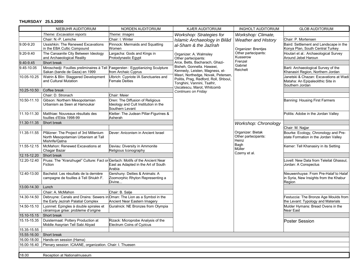### **THURSDAY 25.5.2000**

|             | NIEBUHR AUDITORIUM                                                                                               | NORDEN AUDITORIUM                                                                           | KJÆR AUDITORIUM                                                                                                                          | <b>INGHOLT AUDITORIUM</b>                              | <b>GLOB AUDITORIUM</b>                                                                         |
|-------------|------------------------------------------------------------------------------------------------------------------|---------------------------------------------------------------------------------------------|------------------------------------------------------------------------------------------------------------------------------------------|--------------------------------------------------------|------------------------------------------------------------------------------------------------|
|             | Theme: Excavation reports                                                                                        | Theme: Images                                                                               | Workshop: Strategies for                                                                                                                 | Workshop: Climate,                                     |                                                                                                |
|             | Chair: N.-P. Lemche                                                                                              | Chair: I. Winter                                                                            | Islamic Archaeology in Bilâd                                                                                                             | <b>Weather and History</b>                             | Chair: P. Mortensen                                                                            |
| 9.00-9.20   | Ussishkin: The Renewed Excavations<br>in the EBA Cultic Compound                                                 | Pinnock: Mermaids and Squatting<br>Women                                                    | al-Sham & the Jazîrah<br>Organizer: A. Walmsley<br>Other partecipants:                                                                   | Organizer: Brentjes<br>Other partecipants:<br>Kusserow | Baird: Settlement and Landscape in the<br>Konya Plan, South Central Turkey                     |
| 9.20-9.40   | The Canaanite City Between Ideology<br>and Archaeological Reality                                                | Largacha: Gods and Kings in<br>Protodynastic Egypt                                          |                                                                                                                                          |                                                        | Houtari et al.: Archaeological Survey<br>Around Jebel Haroun                                   |
| 9.40-9.45   | Short break                                                                                                      |                                                                                             | Arce, Betts, Bacharach, Ghazi-                                                                                                           | Frenzel<br>Gabriel                                     |                                                                                                |
| 9.45-10.05  | Miroschedji: Fouilles preliminaires à Tell Faegersten : Egyptianizing Sculpture<br>Sakan (bande de Gaza) en 1999 | from Archaic Cyprus                                                                         | Bisheh, Gonnella. Hawawi,<br>Kennedy, Leisten, Magness, el-                                                                              | Reichelt                                               | Barti: Archaeological Survey of the<br>Khanasiri Region, Northern Jordan                       |
| 10.05-10.25 | Watrin & Blin: Staggered Development<br>and Cultural Mutation                                                    | Ulbrich: Cypriote IA Sanctuaries and<br><b>Female Deities</b>                               | Masri, Northedge, Novak, Petersen,<br>Politis, Prag, Redford, Roll, Shboul,<br>Tonghini, Vannini, Tsafrir,<br>Uscatescu, Marot, Whitcomb |                                                        | Janetski & Chazan: Excavations at Wadi<br>Mataha: An Epipaleolithic Site in<br>Southern Jordan |
| 10.25-10.50 | Coffee break                                                                                                     |                                                                                             | Continues on Friday                                                                                                                      |                                                        |                                                                                                |
|             | Chair: D. Stronach                                                                                               | Chair: Meier                                                                                |                                                                                                                                          |                                                        |                                                                                                |
| 10.50-11.10 | Gibson: Northern Mesopotamian<br>Urbanism as Seen at Hamoukar                                                    | Oren: The Diffusion of Religious<br>Ideology and Cult Institution in the<br>Southern Levant |                                                                                                                                          |                                                        | Banning: Housing First Farmers                                                                 |
| 11.10-11.30 | Matthiae: Nouveaux résultats des<br>fouilles d'Ebla 1998-99                                                      | Kletter: The Judean Pillar-Figurines &<br>Asherah                                           |                                                                                                                                          |                                                        | Politis: Adobe in the Jordan Valley                                                            |
| 11.30-11.35 | Short break                                                                                                      |                                                                                             |                                                                                                                                          | <b>Workshop: Chronology</b>                            |                                                                                                |
|             |                                                                                                                  |                                                                                             |                                                                                                                                          |                                                        | Chair: M. Najjar                                                                               |
| 11.35-11.55 | Pfälzner: The Project of 3rd Millenium<br>North Mesopotamian Urbanism at Tall<br>Mishrife/Qatna                  | Dever: Aniconism in Ancient Israel                                                          |                                                                                                                                          | Organizer: Bietak<br>Other partecipants:<br>Heinz      | Bourke: Ecology, Chronology and Pre-<br>state Formation in the Jordan Valley                   |
| 11.55-12.15 | McMahon: Renewed Excavations at<br>Chagar Bazar                                                                  | Daviau: Diversity in Ammonite<br>Religious Iconography                                      |                                                                                                                                          | Bagh<br>Müller<br>Czerny et al.                        | Kemer: Tell Khanasiry in its Setting                                                           |
| 12.15-12.20 | Short break                                                                                                      |                                                                                             |                                                                                                                                          |                                                        |                                                                                                |
| 12.20-12.40 | Pruss: The "Kranzhugel" Culture: Fact or Gerlach: Motifs of the Ancient Near<br>Fiction                          | East as Adapted in the Art of South<br>Arabia                                               |                                                                                                                                          |                                                        | ovell: New Data from Teleilat Ghassul,<br>Jordan: A Conspectus                                 |
| 12.40-13.00 | Bachelot: Les résultats de la dernière<br>campagne de fouilles à Tell Shiukh F.                                  | Gershuny: Deities & Animals: A<br>Zoomorphic Rhyton Representing a<br>Divine                |                                                                                                                                          |                                                        | Nieuwenhuyse: From Pre-Halaf to Halaf<br>in Syria, New Insights from the Khabur<br>Region      |
| 13.00-14.30 | Lunch                                                                                                            |                                                                                             |                                                                                                                                          |                                                        |                                                                                                |
|             | Chair: A. McMahon                                                                                                | Chair: B. Salje                                                                             |                                                                                                                                          |                                                        |                                                                                                |
| 14.30-14.50 | Debruyne: Canals and Drains: Sewers in<br>the Early Jezirah Palatial Complex                                     | Oman: The Lion as a Symbol in the<br>Ancient Near Eastern Imagery                           |                                                                                                                                          |                                                        | Festuccia: The Bronze Age Moulds from<br>the Levant: Typology and Materials                    |
| 14.50-15.10 | Lyonnet: Epingles à double spirales et<br>céramique grise: probleme d'origine                                    | Guralnick: NE Bronzes from Olympia                                                          |                                                                                                                                          |                                                        | Mulder Hymans: Bread Ovens in the<br>Near East                                                 |
| 15.10-15.15 | Short break                                                                                                      |                                                                                             |                                                                                                                                          |                                                        |                                                                                                |
| 15.15-15.35 | Duistermaat: Pottery Production at<br>Middle Assyrian Tell Sabi Abyad                                            | Rizack: Microprobe Analysis of the<br><b>Electrum Coins of Cyzicus</b>                      |                                                                                                                                          |                                                        | <b>Poster Session</b>                                                                          |
| 15.35-15.55 |                                                                                                                  |                                                                                             |                                                                                                                                          |                                                        |                                                                                                |
| 15.55-16.00 | Short break                                                                                                      |                                                                                             |                                                                                                                                          |                                                        |                                                                                                |
| 16.00-18.00 | Hands-on session (Hama)                                                                                          |                                                                                             |                                                                                                                                          |                                                        |                                                                                                |
| 16.00-16.40 | Plenary session: ICAANE, organization. Chair: I. Thuesen                                                         |                                                                                             |                                                                                                                                          |                                                        |                                                                                                |
|             |                                                                                                                  |                                                                                             |                                                                                                                                          |                                                        |                                                                                                |
| 18.00       | Reception at Nationalmuseum                                                                                      |                                                                                             |                                                                                                                                          |                                                        |                                                                                                |